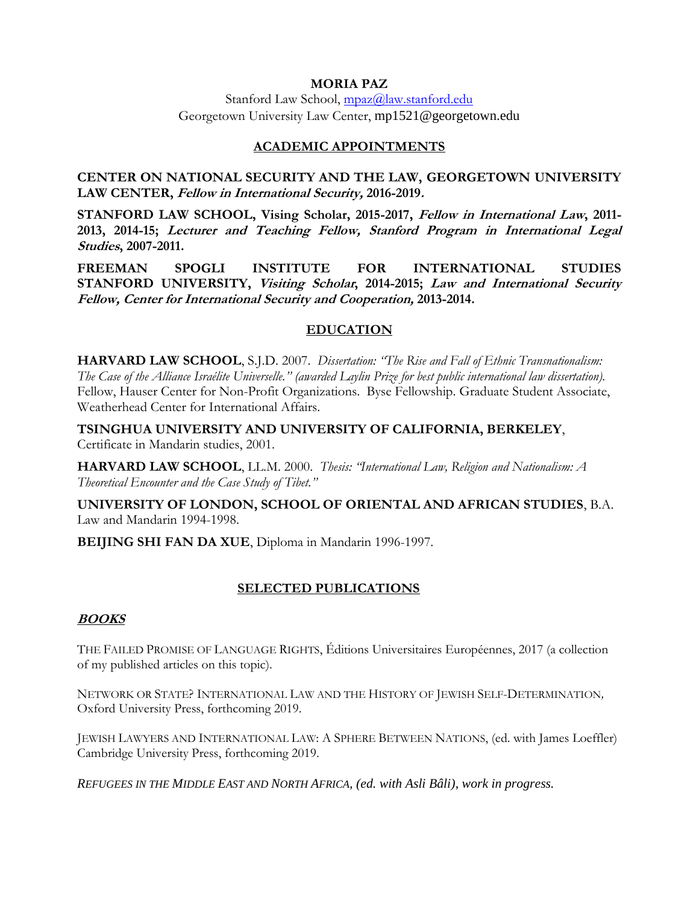#### **MORIA PAZ**

Stanford Law School, [mpaz@law.stanford.edu](mailto:mpaz@law.stanford.edu) Georgetown University Law Center, mp1521@georgetown.edu

#### **ACADEMIC APPOINTMENTS**

**CENTER ON NATIONAL SECURITY AND THE LAW, GEORGETOWN UNIVERSITY LAW CENTER, Fellow in International Security, 2016-2019.**

**STANFORD LAW SCHOOL, Vising Scholar, 2015-2017, Fellow in International Law, 2011- 2013, 2014-15; Lecturer and Teaching Fellow, Stanford Program in International Legal Studies, 2007-2011.**

**FREEMAN SPOGLI INSTITUTE FOR INTERNATIONAL STUDIES STANFORD UNIVERSITY, Visiting Scholar, 2014-2015; Law and International Security Fellow, Center for International Security and Cooperation, 2013-2014.**

#### **EDUCATION**

**HARVARD LAW SCHOOL**, S.J.D. 2007. *Dissertation: "The Rise and Fall of Ethnic Transnationalism: The Case of the Alliance Israélite Universelle." (awarded Laylin Prize for best public international law dissertation).*  Fellow, Hauser Center for Non-Profit Organizations. Byse Fellowship. Graduate Student Associate, Weatherhead Center for International Affairs.

**TSINGHUA UNIVERSITY AND UNIVERSITY OF CALIFORNIA, BERKELEY**, Certificate in Mandarin studies, 2001.

**HARVARD LAW SCHOOL**, LL.M. 2000. *Thesis: "International Law, Religion and Nationalism: A Theoretical Encounter and the Case Study of Tibet."*

**UNIVERSITY OF LONDON, SCHOOL OF ORIENTAL AND AFRICAN STUDIES**, B.A. Law and Mandarin 1994-1998.

**BEIJING SHI FAN DA XUE**, Diploma in Mandarin 1996-1997.

## **SELECTED PUBLICATIONS**

#### **BOOKS**

THE FAILED PROMISE OF LANGUAGE RIGHTS, Éditions Universitaires Européennes, 2017 (a collection of my published articles on this topic).

NETWORK OR STATE? INTERNATIONAL LAW AND THE HISTORY OF JEWISH SELF-DETERMINATION*,*  Oxford University Press, forthcoming 2019.

JEWISH LAWYERS AND INTERNATIONAL LAW: A SPHERE BETWEEN NATIONS, (ed. with James Loeffler) Cambridge University Press, forthcoming 2019.

*REFUGEES IN THE MIDDLE EAST AND NORTH AFRICA, (ed. with Asli Bâli)*, *work in progress.*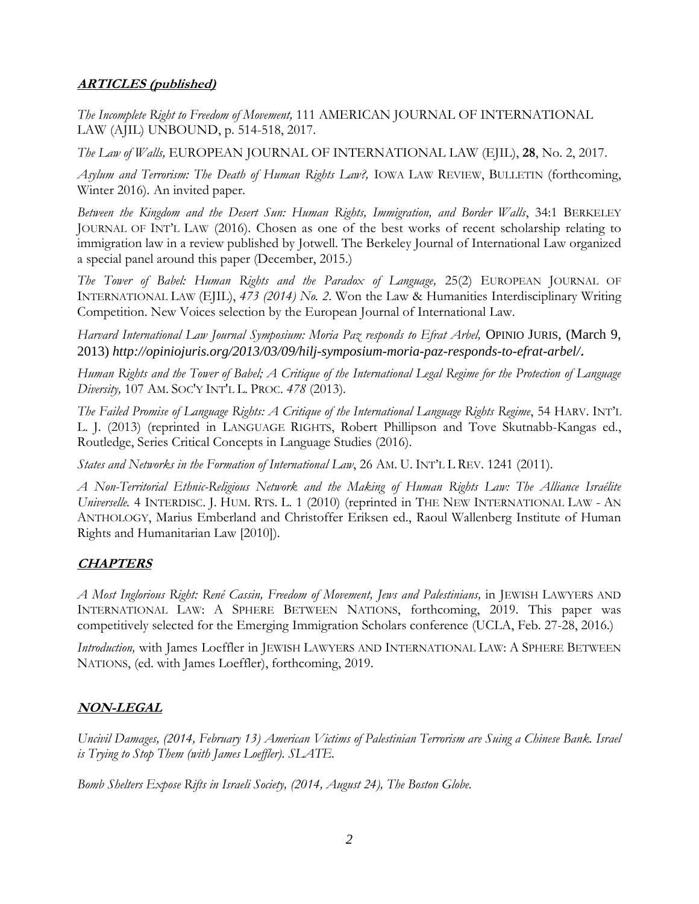## **ARTICLES (published)**

*The Incomplete Right to Freedom of Movement,* 111 AMERICAN JOURNAL OF INTERNATIONAL LAW (AJIL) UNBOUND, p. 514-518, 2017.

*The Law of Walls,* EUROPEAN JOURNAL OF INTERNATIONAL LAW (EJIL), **28**, No. 2, 2017.

*Asylum and Terrorism: The Death of Human Rights Law?,* IOWA LAW REVIEW, BULLETIN (forthcoming, Winter 2016)*.* An invited paper.

*Between the Kingdom and the Desert Sun: Human Rights, Immigration, and Border Walls*, 34:1 BERKELEY JOURNAL OF INT'L LAW (2016). Chosen as one of the best works of recent scholarship relating to immigration law in a review published by Jotwell. The Berkeley Journal of International Law organized a special panel around this paper (December, 2015.)

*The Tower of Babel: Human Rights and the Paradox of Language,* 25(2) EUROPEAN JOURNAL OF INTERNATIONAL LAW (EJIL), *473 (2014) No. 2*. Won the Law & Humanities Interdisciplinary Writing Competition. New Voices selection by the European Journal of International Law.

*Harvard International Law Journal Symposium: Moria Paz responds to Efrat Arbel,* OPINIO JURIS, (March 9, 2013) *http://opiniojuris.org/2013/03/09/hilj-symposium-moria-paz-responds-to-efrat-arbel/***.**

*Human Rights and the Tower of Babel; A Critique of the International Legal Regime for the Protection of Language Diversity,* 107 AM. SOC'Y INT'L L. PROC. *478* (2013)*.*

*The Failed Promise of Language Rights: A Critique of the International Language Rights Regime*, 54 HARV. INT'L L. J. (2013) (reprinted in LANGUAGE RIGHTS, Robert Phillipson and Tove Skutnabb-Kangas ed., Routledge, Series Critical Concepts in Language Studies (2016).

*States and Networks in the Formation of International Law*, 26 AM. U. INT'L L REV. 1241 (2011).

*A Non-Territorial Ethnic-Religious Network and the Making of Human Rights Law: The Alliance Israélite Universelle.* 4 INTERDISC. J. HUM. RTS. L. 1 (2010) (reprinted in THE NEW INTERNATIONAL LAW - AN ANTHOLOGY, Marius Emberland and Christoffer Eriksen ed., Raoul Wallenberg Institute of Human Rights and Humanitarian Law [2010]).

## **CHAPTERS**

*A Most Inglorious Right: René Cassin, Freedom of Movement, Jews and Palestinians,* in JEWISH LAWYERS AND INTERNATIONAL LAW: A SPHERE BETWEEN NATIONS, forthcoming, 2019. This paper was competitively selected for the Emerging Immigration Scholars conference (UCLA, Feb. 27-28, 2016.)

*Introduction,* with James Loeffler in JEWISH LAWYERS AND INTERNATIONAL LAW: A SPHERE BETWEEN NATIONS, (ed. with James Loeffler), forthcoming, 2019.

## **NON-LEGAL**

*Uncivil Damages, (2014, February 13) American Victims of Palestinian Terrorism are Suing a Chinese Bank. Israel is Trying to Stop Them (with James Loeffler). SLATE.* 

*Bomb Shelters Expose Rifts in Israeli Society, (2014, August 24), The Boston Globe.*